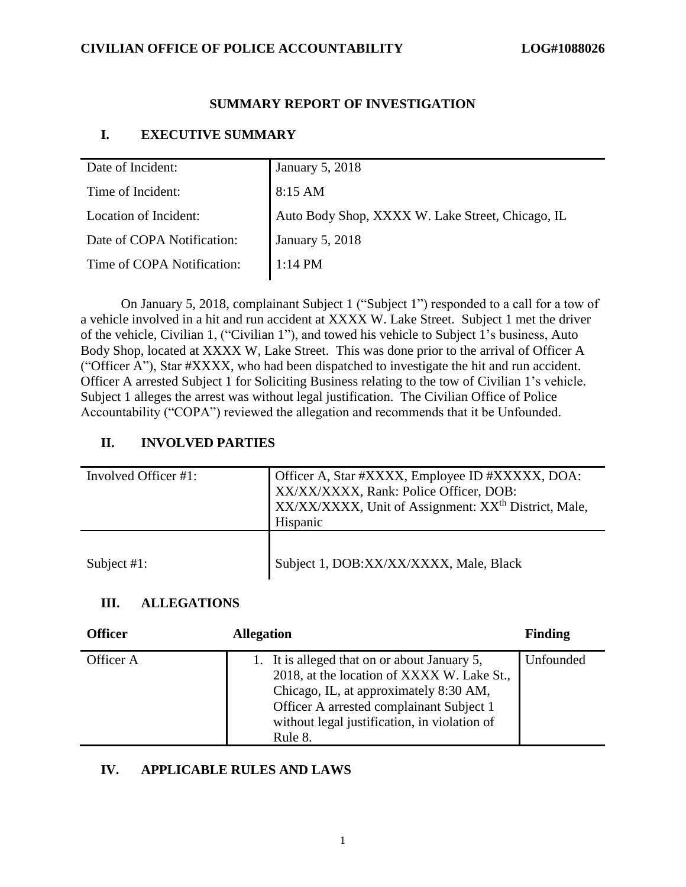## **SUMMARY REPORT OF INVESTIGATION**

## **I. EXECUTIVE SUMMARY**

| Date of Incident:          | <b>January 5, 2018</b>                           |
|----------------------------|--------------------------------------------------|
| Time of Incident:          | $8:15$ AM                                        |
| Location of Incident:      | Auto Body Shop, XXXX W. Lake Street, Chicago, IL |
| Date of COPA Notification: | <b>January 5, 2018</b>                           |
| Time of COPA Notification: | $1:14 \text{ PM}$                                |

On January 5, 2018, complainant Subject 1 ("Subject 1") responded to a call for a tow of a vehicle involved in a hit and run accident at XXXX W. Lake Street. Subject 1 met the driver of the vehicle, Civilian 1, ("Civilian 1"), and towed his vehicle to Subject 1's business, Auto Body Shop, located at XXXX W, Lake Street. This was done prior to the arrival of Officer A ("Officer A"), Star #XXXX, who had been dispatched to investigate the hit and run accident. Officer A arrested Subject 1 for Soliciting Business relating to the tow of Civilian 1's vehicle. Subject 1 alleges the arrest was without legal justification. The Civilian Office of Police Accountability ("COPA") reviewed the allegation and recommends that it be Unfounded.

## **II. INVOLVED PARTIES**

| Involved Officer #1: | Officer A, Star #XXXX, Employee ID #XXXXX, DOA:<br>XX/XX/XXXX, Rank: Police Officer, DOB:<br>XX/XX/XXXX, Unit of Assignment: XX <sup>th</sup> District, Male,<br>Hispanic |  |
|----------------------|---------------------------------------------------------------------------------------------------------------------------------------------------------------------------|--|
| Subject $#1$ :       | Subject 1, DOB:XX/XX/XXXX, Male, Black                                                                                                                                    |  |

## **III. ALLEGATIONS**

| <b>Officer</b> | <b>Allegation</b>                                                                                                                                                                                                                           | <b>Finding</b> |
|----------------|---------------------------------------------------------------------------------------------------------------------------------------------------------------------------------------------------------------------------------------------|----------------|
| Officer A      | 1. It is alleged that on or about January 5,<br>2018, at the location of XXXX W. Lake St.,<br>Chicago, IL, at approximately 8:30 AM,<br>Officer A arrested complainant Subject 1<br>without legal justification, in violation of<br>Rule 8. | Unfounded      |

## **IV. APPLICABLE RULES AND LAWS**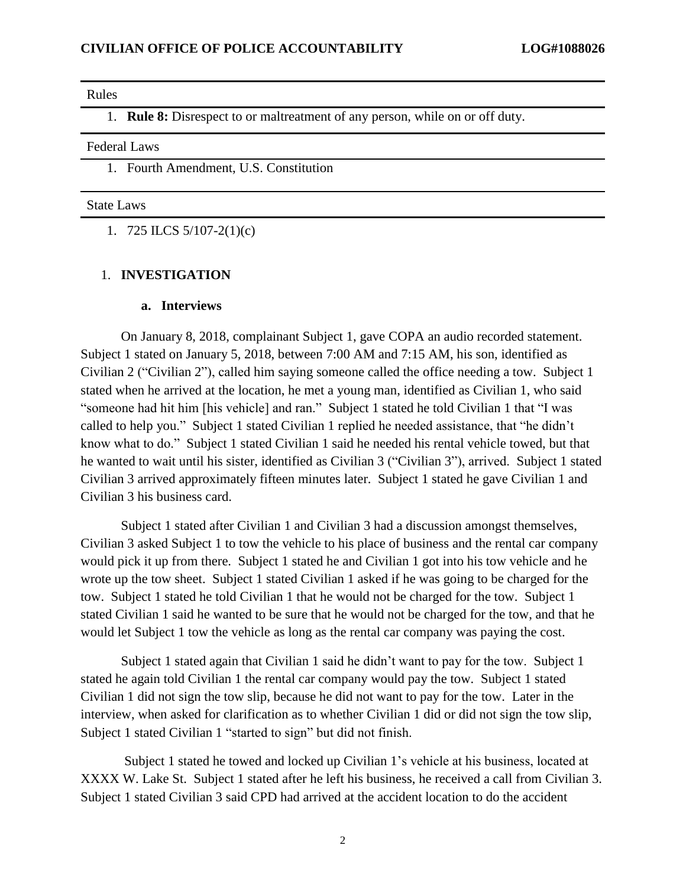#### Rules

1. **Rule 8:** Disrespect to or maltreatment of any person, while on or off duty.

Federal Laws

### 1. Fourth Amendment, U.S. Constitution

### State Laws

1. 725 ILCS 5/107-2(1)(c)

#### 1. **INVESTIGATION**

#### **a. Interviews**

On January 8, 2018, complainant Subject 1, gave COPA an audio recorded statement. Subject 1 stated on January 5, 2018, between 7:00 AM and 7:15 AM, his son, identified as Civilian 2 ("Civilian 2"), called him saying someone called the office needing a tow. Subject 1 stated when he arrived at the location, he met a young man, identified as Civilian 1, who said "someone had hit him [his vehicle] and ran." Subject 1 stated he told Civilian 1 that "I was called to help you." Subject 1 stated Civilian 1 replied he needed assistance, that "he didn't know what to do." Subject 1 stated Civilian 1 said he needed his rental vehicle towed, but that he wanted to wait until his sister, identified as Civilian 3 ("Civilian 3"), arrived. Subject 1 stated Civilian 3 arrived approximately fifteen minutes later. Subject 1 stated he gave Civilian 1 and Civilian 3 his business card.

Subject 1 stated after Civilian 1 and Civilian 3 had a discussion amongst themselves, Civilian 3 asked Subject 1 to tow the vehicle to his place of business and the rental car company would pick it up from there. Subject 1 stated he and Civilian 1 got into his tow vehicle and he wrote up the tow sheet. Subject 1 stated Civilian 1 asked if he was going to be charged for the tow. Subject 1 stated he told Civilian 1 that he would not be charged for the tow. Subject 1 stated Civilian 1 said he wanted to be sure that he would not be charged for the tow, and that he would let Subject 1 tow the vehicle as long as the rental car company was paying the cost.

Subject 1 stated again that Civilian 1 said he didn't want to pay for the tow. Subject 1 stated he again told Civilian 1 the rental car company would pay the tow. Subject 1 stated Civilian 1 did not sign the tow slip, because he did not want to pay for the tow. Later in the interview, when asked for clarification as to whether Civilian 1 did or did not sign the tow slip, Subject 1 stated Civilian 1 "started to sign" but did not finish.

Subject 1 stated he towed and locked up Civilian 1's vehicle at his business, located at XXXX W. Lake St. Subject 1 stated after he left his business, he received a call from Civilian 3. Subject 1 stated Civilian 3 said CPD had arrived at the accident location to do the accident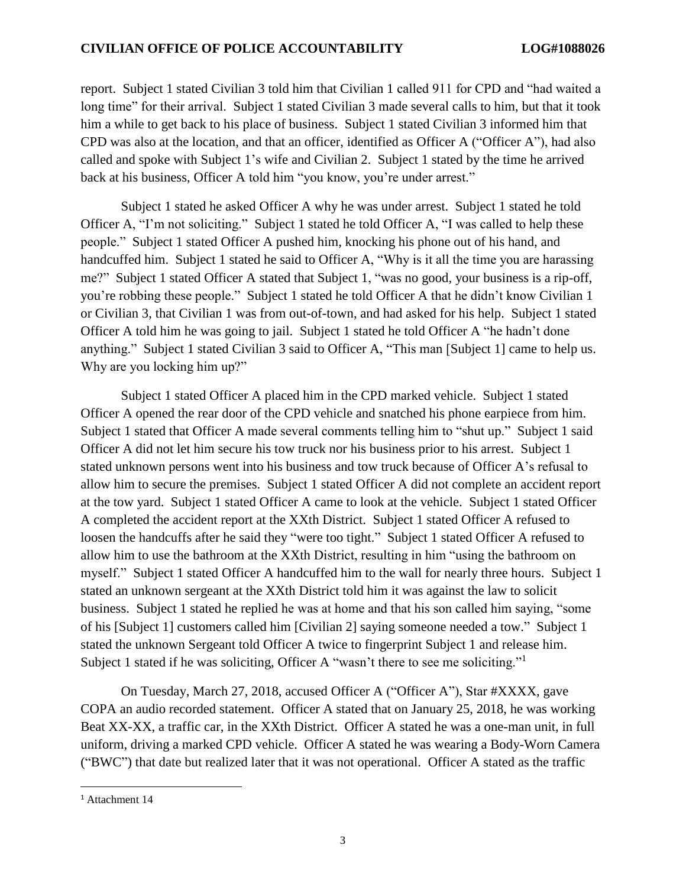report. Subject 1 stated Civilian 3 told him that Civilian 1 called 911 for CPD and "had waited a long time" for their arrival. Subject 1 stated Civilian 3 made several calls to him, but that it took him a while to get back to his place of business. Subject 1 stated Civilian 3 informed him that CPD was also at the location, and that an officer, identified as Officer A ("Officer A"), had also called and spoke with Subject 1's wife and Civilian 2. Subject 1 stated by the time he arrived back at his business, Officer A told him "you know, you're under arrest."

Subject 1 stated he asked Officer A why he was under arrest. Subject 1 stated he told Officer A, "I'm not soliciting." Subject 1 stated he told Officer A, "I was called to help these people." Subject 1 stated Officer A pushed him, knocking his phone out of his hand, and handcuffed him. Subject 1 stated he said to Officer A, "Why is it all the time you are harassing me?" Subject 1 stated Officer A stated that Subject 1, "was no good, your business is a rip-off, you're robbing these people." Subject 1 stated he told Officer A that he didn't know Civilian 1 or Civilian 3, that Civilian 1 was from out-of-town, and had asked for his help. Subject 1 stated Officer A told him he was going to jail. Subject 1 stated he told Officer A "he hadn't done anything." Subject 1 stated Civilian 3 said to Officer A, "This man [Subject 1] came to help us. Why are you locking him up?"

Subject 1 stated Officer A placed him in the CPD marked vehicle. Subject 1 stated Officer A opened the rear door of the CPD vehicle and snatched his phone earpiece from him. Subject 1 stated that Officer A made several comments telling him to "shut up." Subject 1 said Officer A did not let him secure his tow truck nor his business prior to his arrest. Subject 1 stated unknown persons went into his business and tow truck because of Officer A's refusal to allow him to secure the premises. Subject 1 stated Officer A did not complete an accident report at the tow yard. Subject 1 stated Officer A came to look at the vehicle. Subject 1 stated Officer A completed the accident report at the XXth District. Subject 1 stated Officer A refused to loosen the handcuffs after he said they "were too tight." Subject 1 stated Officer A refused to allow him to use the bathroom at the XXth District, resulting in him "using the bathroom on myself." Subject 1 stated Officer A handcuffed him to the wall for nearly three hours. Subject 1 stated an unknown sergeant at the XXth District told him it was against the law to solicit business. Subject 1 stated he replied he was at home and that his son called him saying, "some of his [Subject 1] customers called him [Civilian 2] saying someone needed a tow." Subject 1 stated the unknown Sergeant told Officer A twice to fingerprint Subject 1 and release him. Subject 1 stated if he was soliciting, Officer A "wasn't there to see me soliciting."<sup>1</sup>

On Tuesday, March 27, 2018, accused Officer A ("Officer A"), Star #XXXX, gave COPA an audio recorded statement. Officer A stated that on January 25, 2018, he was working Beat XX-XX, a traffic car, in the XXth District. Officer A stated he was a one-man unit, in full uniform, driving a marked CPD vehicle. Officer A stated he was wearing a Body-Worn Camera ("BWC") that date but realized later that it was not operational. Officer A stated as the traffic

 $\overline{\phantom{a}}$ 

<sup>&</sup>lt;sup>1</sup> Attachment 14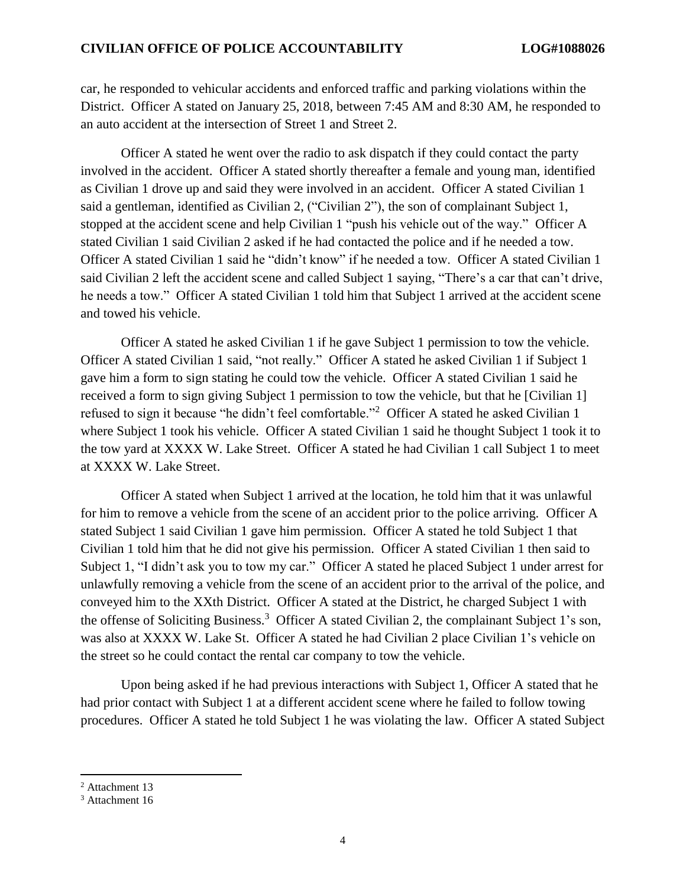car, he responded to vehicular accidents and enforced traffic and parking violations within the District. Officer A stated on January 25, 2018, between 7:45 AM and 8:30 AM, he responded to an auto accident at the intersection of Street 1 and Street 2.

Officer A stated he went over the radio to ask dispatch if they could contact the party involved in the accident. Officer A stated shortly thereafter a female and young man, identified as Civilian 1 drove up and said they were involved in an accident. Officer A stated Civilian 1 said a gentleman, identified as Civilian 2, ("Civilian 2"), the son of complainant Subject 1, stopped at the accident scene and help Civilian 1 "push his vehicle out of the way." Officer A stated Civilian 1 said Civilian 2 asked if he had contacted the police and if he needed a tow. Officer A stated Civilian 1 said he "didn't know" if he needed a tow. Officer A stated Civilian 1 said Civilian 2 left the accident scene and called Subject 1 saying, "There's a car that can't drive, he needs a tow." Officer A stated Civilian 1 told him that Subject 1 arrived at the accident scene and towed his vehicle.

Officer A stated he asked Civilian 1 if he gave Subject 1 permission to tow the vehicle. Officer A stated Civilian 1 said, "not really." Officer A stated he asked Civilian 1 if Subject 1 gave him a form to sign stating he could tow the vehicle. Officer A stated Civilian 1 said he received a form to sign giving Subject 1 permission to tow the vehicle, but that he [Civilian 1] refused to sign it because "he didn't feel comfortable."<sup>2</sup> Officer A stated he asked Civilian 1 where Subject 1 took his vehicle. Officer A stated Civilian 1 said he thought Subject 1 took it to the tow yard at XXXX W. Lake Street. Officer A stated he had Civilian 1 call Subject 1 to meet at XXXX W. Lake Street.

Officer A stated when Subject 1 arrived at the location, he told him that it was unlawful for him to remove a vehicle from the scene of an accident prior to the police arriving. Officer A stated Subject 1 said Civilian 1 gave him permission. Officer A stated he told Subject 1 that Civilian 1 told him that he did not give his permission. Officer A stated Civilian 1 then said to Subject 1, "I didn't ask you to tow my car." Officer A stated he placed Subject 1 under arrest for unlawfully removing a vehicle from the scene of an accident prior to the arrival of the police, and conveyed him to the XXth District. Officer A stated at the District, he charged Subject 1 with the offense of Soliciting Business.<sup>3</sup> Officer A stated Civilian 2, the complainant Subject 1's son, was also at XXXX W. Lake St. Officer A stated he had Civilian 2 place Civilian 1's vehicle on the street so he could contact the rental car company to tow the vehicle.

Upon being asked if he had previous interactions with Subject 1, Officer A stated that he had prior contact with Subject 1 at a different accident scene where he failed to follow towing procedures. Officer A stated he told Subject 1 he was violating the law. Officer A stated Subject

 $\overline{a}$ 

<sup>2</sup> Attachment 13

<sup>&</sup>lt;sup>3</sup> Attachment 16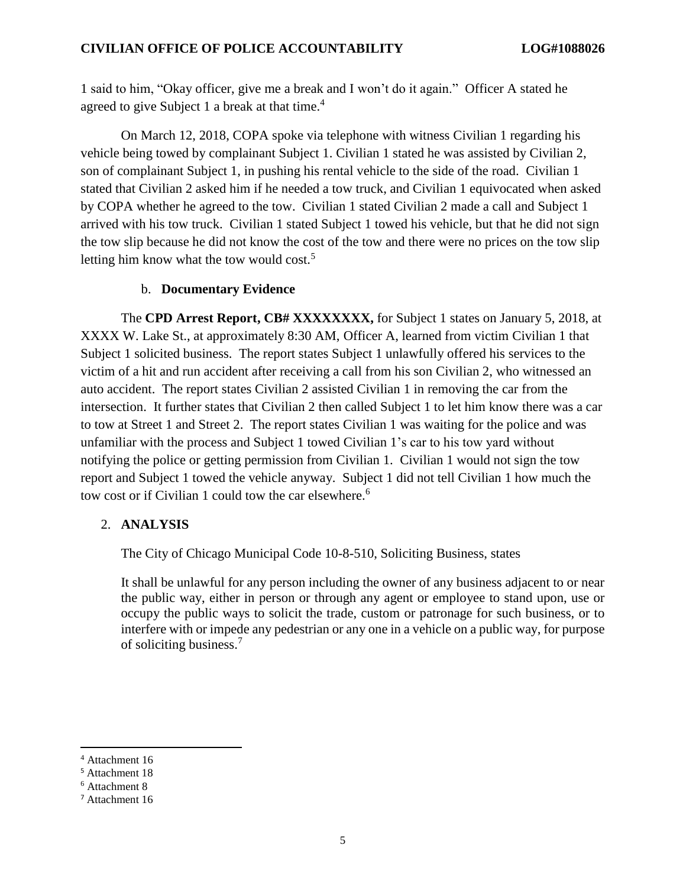1 said to him, "Okay officer, give me a break and I won't do it again." Officer A stated he agreed to give Subject 1 a break at that time.<sup>4</sup>

On March 12, 2018, COPA spoke via telephone with witness Civilian 1 regarding his vehicle being towed by complainant Subject 1. Civilian 1 stated he was assisted by Civilian 2, son of complainant Subject 1, in pushing his rental vehicle to the side of the road. Civilian 1 stated that Civilian 2 asked him if he needed a tow truck, and Civilian 1 equivocated when asked by COPA whether he agreed to the tow. Civilian 1 stated Civilian 2 made a call and Subject 1 arrived with his tow truck. Civilian 1 stated Subject 1 towed his vehicle, but that he did not sign the tow slip because he did not know the cost of the tow and there were no prices on the tow slip letting him know what the tow would cost.<sup>5</sup>

## b. **Documentary Evidence**

The **CPD Arrest Report, CB# XXXXXXXX,** for Subject 1 states on January 5, 2018, at XXXX W. Lake St., at approximately 8:30 AM, Officer A, learned from victim Civilian 1 that Subject 1 solicited business. The report states Subject 1 unlawfully offered his services to the victim of a hit and run accident after receiving a call from his son Civilian 2, who witnessed an auto accident. The report states Civilian 2 assisted Civilian 1 in removing the car from the intersection. It further states that Civilian 2 then called Subject 1 to let him know there was a car to tow at Street 1 and Street 2. The report states Civilian 1 was waiting for the police and was unfamiliar with the process and Subject 1 towed Civilian 1's car to his tow yard without notifying the police or getting permission from Civilian 1. Civilian 1 would not sign the tow report and Subject 1 towed the vehicle anyway. Subject 1 did not tell Civilian 1 how much the tow cost or if Civilian 1 could tow the car elsewhere.<sup>6</sup>

## 2. **ANALYSIS**

The City of Chicago Municipal Code 10-8-510, Soliciting Business, states

It shall be unlawful for any person including the owner of any business adjacent to or near the public way, either in person or through any agent or employee to stand upon, use or occupy the public ways to solicit the trade, custom or patronage for such business, or to interfere with or impede any pedestrian or any one in a vehicle on a public way, for purpose of soliciting business. 7

 $\overline{a}$ 

<sup>4</sup> Attachment 16

<sup>5</sup> Attachment 18

<sup>6</sup> Attachment 8

<sup>7</sup> Attachment 16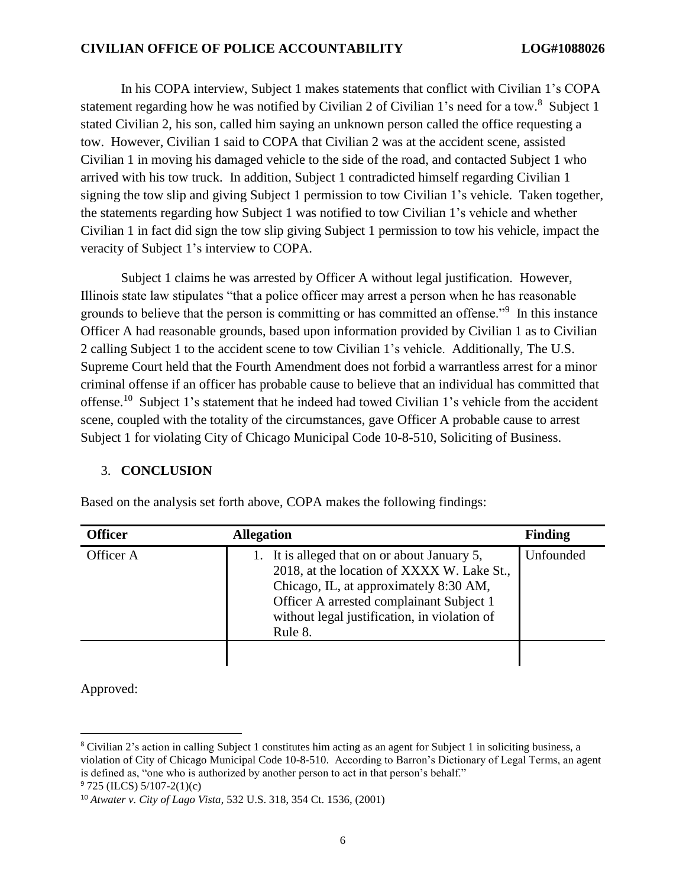In his COPA interview, Subject 1 makes statements that conflict with Civilian 1's COPA statement regarding how he was notified by Civilian 2 of Civilian 1's need for a tow.<sup>8</sup> Subject 1 stated Civilian 2, his son, called him saying an unknown person called the office requesting a tow. However, Civilian 1 said to COPA that Civilian 2 was at the accident scene, assisted Civilian 1 in moving his damaged vehicle to the side of the road, and contacted Subject 1 who arrived with his tow truck. In addition, Subject 1 contradicted himself regarding Civilian 1 signing the tow slip and giving Subject 1 permission to tow Civilian 1's vehicle. Taken together, the statements regarding how Subject 1 was notified to tow Civilian 1's vehicle and whether Civilian 1 in fact did sign the tow slip giving Subject 1 permission to tow his vehicle, impact the veracity of Subject 1's interview to COPA.

Subject 1 claims he was arrested by Officer A without legal justification. However, Illinois state law stipulates "that a police officer may arrest a person when he has reasonable grounds to believe that the person is committing or has committed an offense."<sup>9</sup> In this instance Officer A had reasonable grounds, based upon information provided by Civilian 1 as to Civilian 2 calling Subject 1 to the accident scene to tow Civilian 1's vehicle. Additionally, The U.S. Supreme Court held that the Fourth Amendment does not forbid a warrantless arrest for a minor criminal offense if an officer has probable cause to believe that an individual has committed that offense.<sup>10</sup> Subject 1's statement that he indeed had towed Civilian 1's vehicle from the accident scene, coupled with the totality of the circumstances, gave Officer A probable cause to arrest Subject 1 for violating City of Chicago Municipal Code 10-8-510, Soliciting of Business.

## 3. **CONCLUSION**

| <b>Officer</b> | <b>Allegation</b>                                                                                                                                                                                                                           | <b>Finding</b> |
|----------------|---------------------------------------------------------------------------------------------------------------------------------------------------------------------------------------------------------------------------------------------|----------------|
| Officer A      | 1. It is alleged that on or about January 5,<br>2018, at the location of XXXX W. Lake St.,<br>Chicago, IL, at approximately 8:30 AM,<br>Officer A arrested complainant Subject 1<br>without legal justification, in violation of<br>Rule 8. | Unfounded      |
|                |                                                                                                                                                                                                                                             |                |

Based on the analysis set forth above, COPA makes the following findings:

Approved:

 $\overline{\phantom{a}}$ 

<sup>8</sup> Civilian 2's action in calling Subject 1 constitutes him acting as an agent for Subject 1 in soliciting business, a violation of City of Chicago Municipal Code 10-8-510. According to Barron's Dictionary of Legal Terms, an agent is defined as, "one who is authorized by another person to act in that person's behalf."  $9725$  (ILCS)  $5/107-2(1)(c)$ 

<sup>10</sup> *Atwater v. City of Lago Vista*, 532 U.S. 318, 354 Ct. 1536, (2001)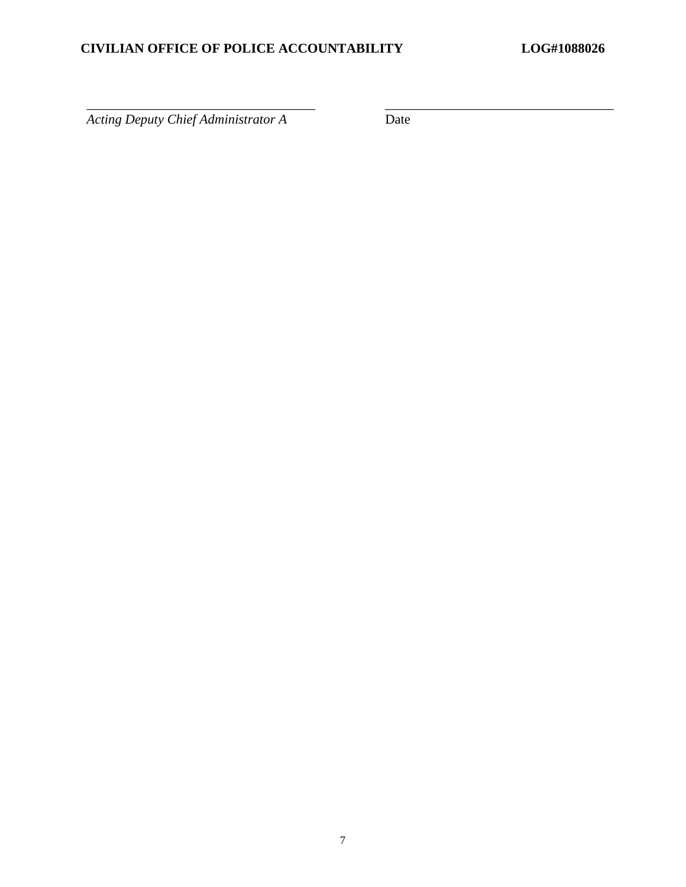$\overline{\text{Acting Deputy Chief Administration}$ 

\_\_\_\_\_\_\_\_\_\_\_\_\_\_\_\_\_\_\_\_\_\_\_\_\_\_\_\_\_\_\_\_\_\_ \_\_\_\_\_\_\_\_\_\_\_\_\_\_\_\_\_\_\_\_\_\_\_\_\_\_\_\_\_\_\_\_\_\_